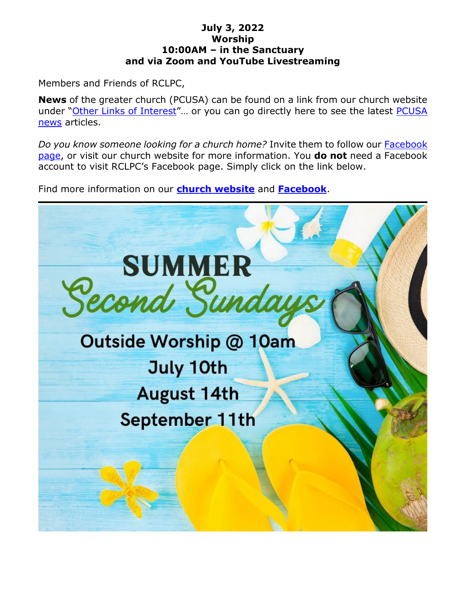#### **July 3, 2022 Worship 10:00AM – in the Sanctuary and via Zoom and YouTube Livestreaming**

Members and Friends of RCLPC,

**News** of the greater church (PCUSA) can be found on a link from our church website under "Other Links of Interest"… or you can go directly here to see the latest PCUSA news articles.

*Do you know someone looking for a church home?* Invite them to follow our Facebook page, or visit our church website for more information. You **do not** need a Facebook account to visit RCLPC's Facebook page. Simply click on the link below.

Find more information on our **church website** and **Facebook**.

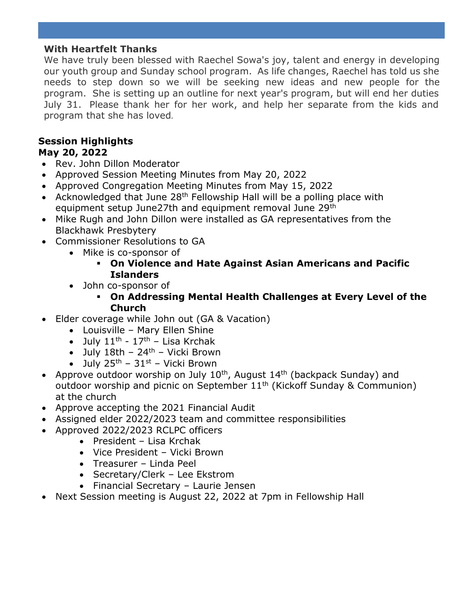#### **With Heartfelt Thanks**

We have truly been blessed with Raechel Sowa's joy, talent and energy in developing our youth group and Sunday school program. As life changes, Raechel has told us she needs to step down so we will be seeking new ideas and new people for the program. She is setting up an outline for next year's program, but will end her duties July 31. Please thank her for her work, and help her separate from the kids and program that she has loved.

#### **Session Highlights May 20, 2022**

- Rev. John Dillon Moderator
- Approved Session Meeting Minutes from May 20, 2022
- Approved Congregation Meeting Minutes from May 15, 2022
- Acknowledged that June  $28<sup>th</sup>$  Fellowship Hall will be a polling place with equipment setup June27th and equipment removal June 29th
- Mike Rugh and John Dillon were installed as GA representatives from the Blackhawk Presbytery
- Commissioner Resolutions to GA
	- Mike is co-sponsor of
		- **On Violence and Hate Against Asian Americans and Pacific Islanders**
	- John co-sponsor of
		- **On Addressing Mental Health Challenges at Every Level of the Church**
- Elder coverage while John out (GA & Vacation)
	- Louisville Mary Ellen Shine
	- July  $11^{\text{th}}$   $17^{\text{th}}$  Lisa Krchak
	- July  $18th 24th -$  Vicki Brown
	- July  $25^{th}$   $31^{st}$  Vicki Brown
- Approve outdoor worship on July  $10^{th}$ , August  $14^{th}$  (backpack Sunday) and outdoor worship and picnic on September 11<sup>th</sup> (Kickoff Sunday & Communion) at the church
- Approve accepting the 2021 Financial Audit
- Assigned elder 2022/2023 team and committee responsibilities
- Approved 2022/2023 RCLPC officers
	- President Lisa Krchak
	- Vice President Vicki Brown
	- Treasurer Linda Peel
	- Secretary/Clerk Lee Ekstrom
	- Financial Secretary Laurie Jensen
- Next Session meeting is August 22, 2022 at 7pm in Fellowship Hall